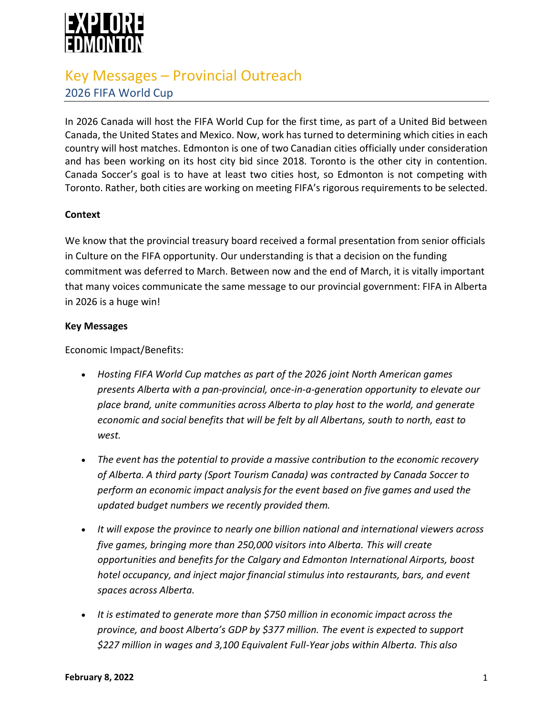

# Key Messages – Provincial Outreach 2026 FIFA World Cup

In 2026 Canada will host the FIFA World Cup for the first time, as part of a United Bid between Canada, the United States and Mexico. Now, work has turned to determining which cities in each country will host matches. Edmonton is one of two Canadian cities officially under consideration and has been working on its host city bid since 2018. Toronto is the other city in contention. Canada Soccer's goal is to have at least two cities host, so Edmonton is not competing with Toronto. Rather, both cities are working on meeting FIFA's rigorous requirements to be selected.

## **Context**

We know that the provincial treasury board received a formal presentation from senior officials in Culture on the FIFA opportunity. Our understanding is that a decision on the funding commitment was deferred to March. Between now and the end of March, it is vitally important that many voices communicate the same message to our provincial government: FIFA in Alberta in 2026 is a huge win!

#### **Key Messages**

Economic Impact/Benefits:

- *Hosting FIFA World Cup matches as part of the 2026 joint North American games presents Alberta with a pan-provincial, once-in-a-generation opportunity to elevate our place brand, unite communities across Alberta to play host to the world, and generate economic and social benefits that will be felt by all Albertans, south to north, east to west.*
- *The event has the potential to provide a massive contribution to the economic recovery of Alberta. A third party (Sport Tourism Canada) was contracted by Canada Soccer to perform an economic impact analysis for the event based on five games and used the updated budget numbers we recently provided them.*
- *It will expose the province to nearly one billion national and international viewers across five games, bringing more than 250,000 visitors into Alberta. This will create opportunities and benefits for the Calgary and Edmonton International Airports, boost hotel occupancy, and inject major financial stimulus into restaurants, bars, and event spaces across Alberta.*
- *It is estimated to generate more than \$750 million in economic impact across the province, and boost Alberta's GDP by \$377 million. The event is expected to support \$227 million in wages and 3,100 Equivalent Full-Year jobs within Alberta. This also*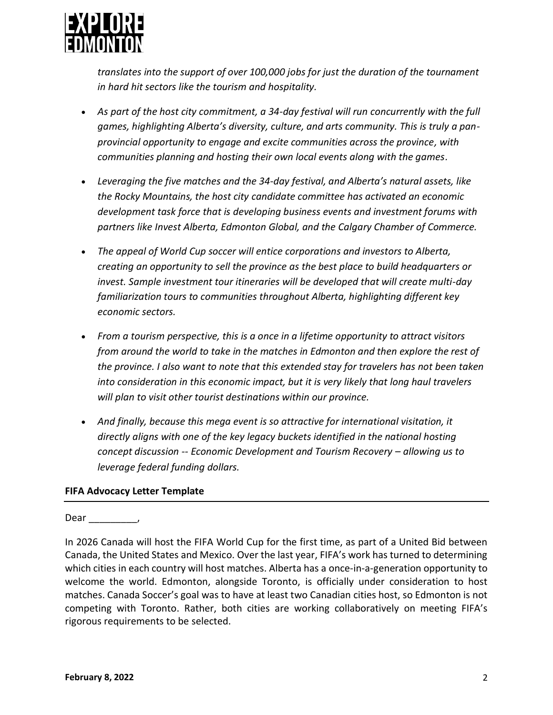

*translates into the support of over 100,000 jobs for just the duration of the tournament in hard hit sectors like the tourism and hospitality.*

- *As part of the host city commitment, a 34-day festival will run concurrently with the full games, highlighting Alberta's diversity, culture, and arts community. This is truly a panprovincial opportunity to engage and excite communities across the province, with communities planning and hosting their own local events along with the games.*
- *Leveraging the five matches and the 34-day festival, and Alberta's natural assets, like the Rocky Mountains, the host city candidate committee has activated an economic development task force that is developing business events and investment forums with partners like Invest Alberta, Edmonton Global, and the Calgary Chamber of Commerce.*
- *The appeal of World Cup soccer will entice corporations and investors to Alberta, creating an opportunity to sell the province as the best place to build headquarters or invest. Sample investment tour itineraries will be developed that will create multi-day familiarization tours to communities throughout Alberta, highlighting different key economic sectors.*
- *From a tourism perspective, this is a once in a lifetime opportunity to attract visitors from around the world to take in the matches in Edmonton and then explore the rest of the province. I also want to note that this extended stay for travelers has not been taken into consideration in this economic impact, but it is very likely that long haul travelers will plan to visit other tourist destinations within our province.*
- *And finally, because this mega event is so attractive for international visitation, it directly aligns with one of the key legacy buckets identified in the national hosting concept discussion -- Economic Development and Tourism Recovery – allowing us to leverage federal funding dollars.*

# **FIFA Advocacy Letter Template**

### Dear \_\_\_\_\_\_\_\_\_,

In 2026 Canada will host the FIFA World Cup for the first time, as part of a United Bid between Canada, the United States and Mexico. Over the last year, FIFA's work has turned to determining which cities in each country will host matches. Alberta has a once-in-a-generation opportunity to welcome the world. Edmonton, alongside Toronto, is officially under consideration to host matches. Canada Soccer's goal was to have at least two Canadian cities host, so Edmonton is not competing with Toronto. Rather, both cities are working collaboratively on meeting FIFA's rigorous requirements to be selected.